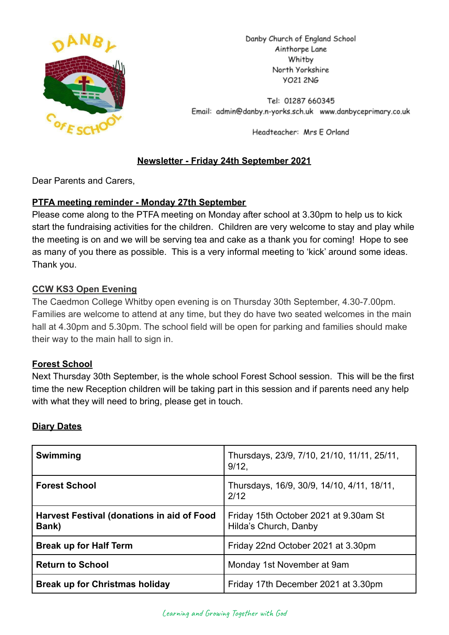

Danby Church of England School Ainthorpe Lane Whitby North Yorkshire **YO21 2NG** 

Tel: 01287 660345 Email: admin@danby.n-yorks.sch.uk www.danbyceprimary.co.uk

Headteacher: Mrs E Orland

# **Newsletter - Friday 24th September 2021**

Dear Parents and Carers,

### **PTFA meeting reminder - Monday 27th September**

Please come along to the PTFA meeting on Monday after school at 3.30pm to help us to kick start the fundraising activities for the children. Children are very welcome to stay and play while the meeting is on and we will be serving tea and cake as a thank you for coming! Hope to see as many of you there as possible. This is a very informal meeting to 'kick' around some ideas. Thank you.

## **CCW KS3 Open Evening**

The Caedmon College Whitby open evening is on Thursday 30th September, 4.30-7.00pm. Families are welcome to attend at any time, but they do have two seated welcomes in the main hall at 4.30pm and 5.30pm. The school field will be open for parking and families should make their way to the main hall to sign in.

### **Forest School**

Next Thursday 30th September, is the whole school Forest School session. This will be the first time the new Reception children will be taking part in this session and if parents need any help with what they will need to bring, please get in touch.

### **Diary Dates**

| Swimming                                                   | Thursdays, 23/9, 7/10, 21/10, 11/11, 25/11,<br>$9/12$ ,        |
|------------------------------------------------------------|----------------------------------------------------------------|
| <b>Forest School</b>                                       | Thursdays, 16/9, 30/9, 14/10, 4/11, 18/11,<br>2/12             |
| <b>Harvest Festival (donations in aid of Food</b><br>Bank) | Friday 15th October 2021 at 9.30am St<br>Hilda's Church, Danby |
| <b>Break up for Half Term</b>                              | Friday 22nd October 2021 at 3.30pm                             |
| <b>Return to School</b>                                    | Monday 1st November at 9am                                     |
| <b>Break up for Christmas holiday</b>                      | Friday 17th December 2021 at 3.30pm                            |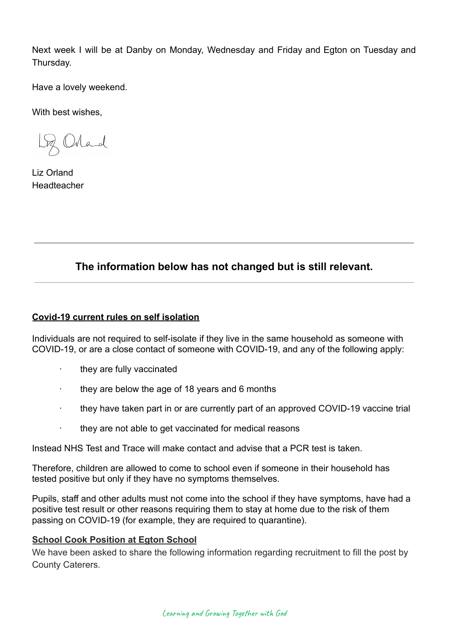Next week I will be at Danby on Monday, Wednesday and Friday and Egton on Tuesday and Thursday.

Have a lovely weekend.

With best wishes,

Loz Orland

Liz Orland Headteacher

# **The information below has not changed but is still relevant.**

#### **Covid-19 current rules on self isolation**

Individuals are not required to self-isolate if they live in the same household as someone with COVID-19, or are a close contact of someone with COVID-19, and any of the following apply:

- they are fully vaccinated
- · they are below the age of 18 years and 6 months
- · they have taken part in or are currently part of an approved COVID-19 vaccine trial
- · they are not able to get vaccinated for medical reasons

Instead NHS Test and Trace will make contact and advise that a PCR test is taken.

Therefore, children are allowed to come to school even if someone in their household has tested positive but only if they have no symptoms themselves.

Pupils, staff and other adults must not come into the school if they have symptoms, have had a positive test result or other reasons requiring them to stay at home due to the risk of them passing on COVID-19 (for example, they are required to quarantine).

### **School Cook Position at Egton School**

We have been asked to share the following information regarding recruitment to fill the post by County Caterers.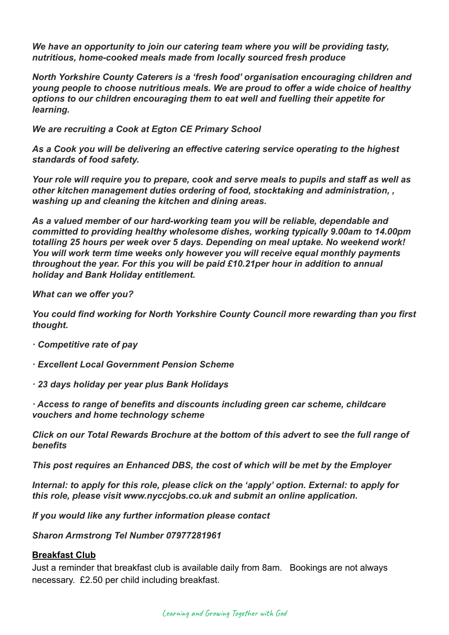*We have an opportunity to join our catering team where you will be providing tasty, nutritious, home-cooked meals made from locally sourced fresh produce*

*North Yorkshire County Caterers is a 'fresh food' organisation encouraging children and young people to choose nutritious meals. We are proud to offer a wide choice of healthy options to our children encouraging them to eat well and fuelling their appetite for learning.*

*We are recruiting a Cook at Egton CE Primary School*

*As a Cook you will be delivering an effective catering service operating to the highest standards of food safety.*

*Your role will require you to prepare, cook and serve meals to pupils and staff as well as other kitchen management duties ordering of food, stocktaking and administration, , washing up and cleaning the kitchen and dining areas.*

*As a valued member of our hard-working team you will be reliable, dependable and committed to providing healthy wholesome dishes, working typically 9.00am to 14.00pm totalling 25 hours per week over 5 days. Depending on meal uptake. No weekend work! You will work term time weeks only however you will receive equal monthly payments throughout the year. For this you will be paid £10.21per hour in addition to annual holiday and Bank Holiday entitlement.*

*What can we offer you?*

*You could find working for North Yorkshire County Council more rewarding than you first thought.*

- *· Competitive rate of pay*
- *· Excellent Local Government Pension Scheme*
- *· 23 days holiday per year plus Bank Holidays*
- *· Access to range of benefits and discounts including green car scheme, childcare vouchers and home technology scheme*

*Click on our Total Rewards Brochure at the bottom of this advert to see the full range of benefits*

*This post requires an Enhanced DBS, the cost of which will be met by the Employer*

*Internal: to apply for this role, please click on the 'apply' option. External: to apply for this role, please visit www.nyccjobs.co.uk and submit an online application.*

*If you would like any further information please contact*

*Sharon Armstrong Tel Number 07977281961*

#### **Breakfast Club**

Just a reminder that breakfast club is available daily from 8am. Bookings are not always necessary. £2.50 per child including breakfast.

Learning and Growing Together with God